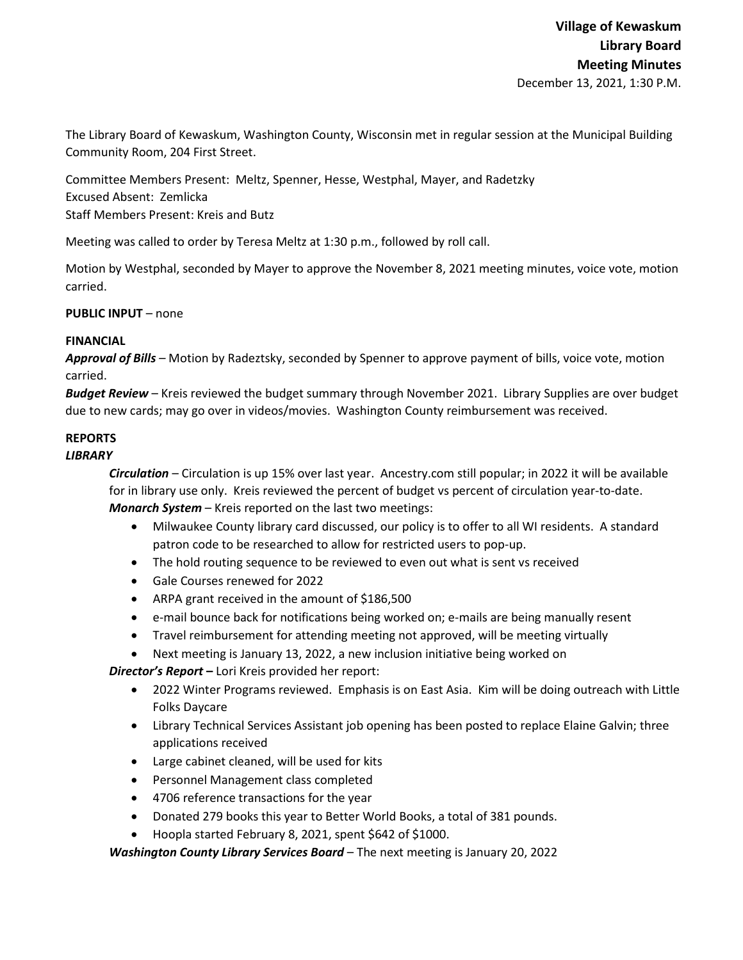The Library Board of Kewaskum, Washington County, Wisconsin met in regular session at the Municipal Building Community Room, 204 First Street.

Committee Members Present: Meltz, Spenner, Hesse, Westphal, Mayer, and Radetzky Excused Absent: Zemlicka Staff Members Present: Kreis and Butz

Meeting was called to order by Teresa Meltz at 1:30 p.m., followed by roll call.

Motion by Westphal, seconded by Mayer to approve the November 8, 2021 meeting minutes, voice vote, motion carried.

**PUBLIC INPUT** – none

## **FINANCIAL**

*Approval of Bills –* Motion by Radeztsky, seconded by Spenner to approve payment of bills, voice vote, motion carried.

*Budget Review* – Kreis reviewed the budget summary through November 2021. Library Supplies are over budget due to new cards; may go over in videos/movies. Washington County reimbursement was received.

## **REPORTS**

## *LIBRARY*

*Circulation* – Circulation is up 15% over last year. Ancestry.com still popular; in 2022 it will be available for in library use only. Kreis reviewed the percent of budget vs percent of circulation year-to-date. *Monarch System* – Kreis reported on the last two meetings:

- Milwaukee County library card discussed, our policy is to offer to all WI residents. A standard patron code to be researched to allow for restricted users to pop-up.
- The hold routing sequence to be reviewed to even out what is sent vs received
- Gale Courses renewed for 2022
- ARPA grant received in the amount of \$186,500
- e-mail bounce back for notifications being worked on; e-mails are being manually resent
- Travel reimbursement for attending meeting not approved, will be meeting virtually
- Next meeting is January 13, 2022, a new inclusion initiative being worked on

*Director's Report* **–** Lori Kreis provided her report:

- 2022 Winter Programs reviewed. Emphasis is on East Asia. Kim will be doing outreach with Little Folks Daycare
- Library Technical Services Assistant job opening has been posted to replace Elaine Galvin; three applications received
- Large cabinet cleaned, will be used for kits
- Personnel Management class completed
- 4706 reference transactions for the year
- Donated 279 books this year to Better World Books, a total of 381 pounds.
- Hoopla started February 8, 2021, spent \$642 of \$1000.

*Washington County Library Services Board* – The next meeting is January 20, 2022